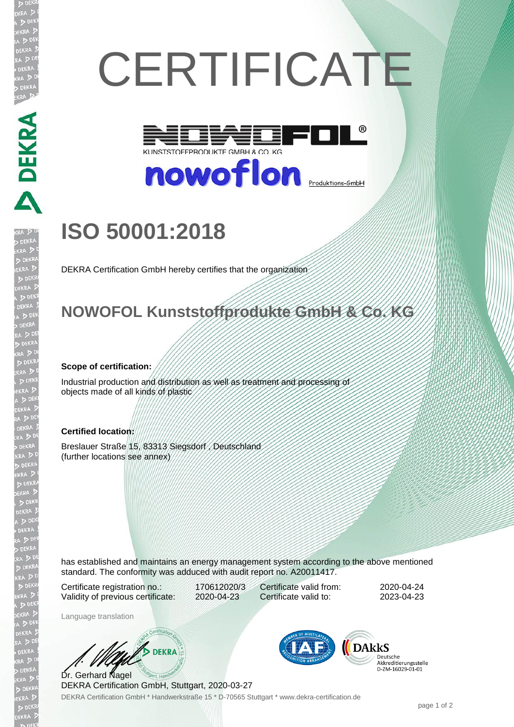# **CERTIFICATE**



nowoflon **<u>Produktions-GmbH</u>** 

## **ISO 50001:2018**

DEKRA Certification GmbH hereby certifies that the organization

## **NOWOFOL Kunststoffprodukte GmbH & Co. KG**

#### **Scope of certification:**

**ANDREAD** 

Industrial production and distribution as well as treatment and processing of objects made of all kinds of plastic

#### **Certified location:**

Breslauer Straße 15, 83313 Siegsdorf , Deutschland (further locations see annex)

has established and maintains an energy management system according to the above mentioned standard. The conformity was adduced with audit report no. A20011417.

Certificate registration no.: 170612020/3 Validity of previous certificate: 2020-04-23

Certificate valid from: 2020-04-24 Certificate valid to: 2023-04-23

Language translation

 $\mathscr{D}$  DEKRA Dr. Gerhard Nagel

DEKRA Certification GmbH \* Handwerkstraße 15 \* D-70565 Stuttgart \* www.dekra-certification.de DEKRA Certification GmbH, Stuttgart, 2020-03-27



Deutsche Akkreditierungsstelle<br>D-ZM-16029-01-01